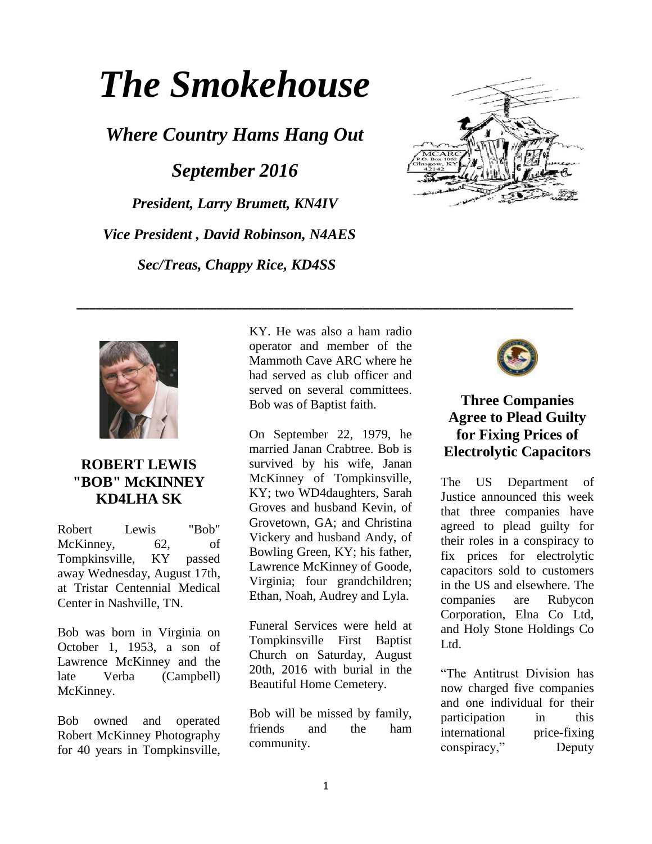# *The Smokehouse*

*Where Country Hams Hang Out September 2016 President, Larry Brumett, KN4IV Vice President , David Robinson, N4AES Sec/Treas, Chappy Rice, KD4SS*





## **ROBERT LEWIS "BOB" McKINNEY KD4LHA SK**

Robert Lewis "Bob" McKinney, 62, of Tompkinsville, KY passed away Wednesday, August 17th, at Tristar Centennial Medical Center in Nashville, TN.

Bob was born in Virginia on October 1, 1953, a son of Lawrence McKinney and the late Verba (Campbell) McKinney.

Bob owned and operated Robert McKinney Photography for 40 years in Tompkinsville,

KY. He was also a ham radio operator and member of the Mammoth Cave ARC where he had served as club officer and served on several committees. Bob was of Baptist faith.

**\_\_\_\_\_\_\_\_\_\_\_\_\_\_\_\_\_\_\_\_\_\_\_\_\_\_\_\_\_\_\_\_\_\_\_\_\_\_\_\_\_\_\_\_\_\_\_\_\_\_\_\_\_\_\_\_\_\_\_\_\_\_\_\_\_\_\_\_\_\_\_\_\_\_\_\_\_\_**

On September 22, 1979, he married Janan Crabtree. Bob is survived by his wife, Janan McKinney of Tompkinsville, KY; two WD4daughters, Sarah Groves and husband Kevin, of Grovetown, GA; and Christina Vickery and husband Andy, of Bowling Green, KY; his father, Lawrence McKinney of Goode, Virginia; four grandchildren; Ethan, Noah, Audrey and Lyla.

Funeral Services were held at Tompkinsville First Baptist Church on Saturday, August 20th, 2016 with burial in the Beautiful Home Cemetery.

Bob will be missed by family, friends and the ham community.



## **Three Companies Agree to Plead Guilty for Fixing Prices of Electrolytic Capacitors**

The US Department of Justice announced this week that three companies have agreed to plead guilty for their roles in a conspiracy to fix prices for electrolytic capacitors sold to customers in the US and elsewhere. The companies are Rubycon Corporation, Elna Co Ltd, and Holy Stone Holdings Co Ltd.

"The Antitrust Division has now charged five companies and one individual for their participation in this international price-fixing conspiracy," Deputy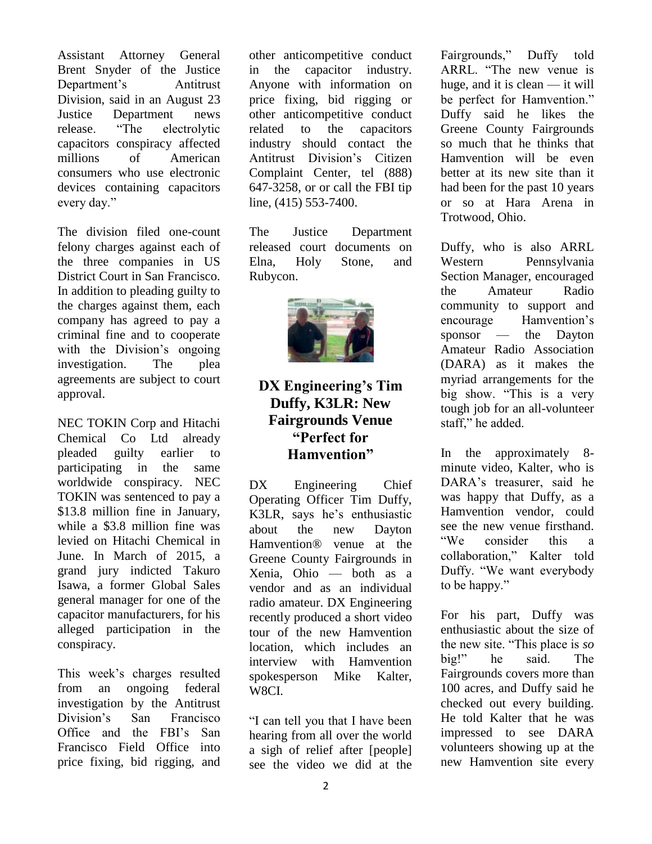Assistant Attorney General Brent Snyder of the Justice Department's Antitrust Division, said in an August 23 Justice Department [news](https://www.justice.gov/opa/pr/three-companies-agree-plead-guilty-fixing-prices-electrolytic-capacitors)  [release.](https://www.justice.gov/opa/pr/three-companies-agree-plead-guilty-fixing-prices-electrolytic-capacitors) "The electrolytic capacitors conspiracy affected millions of American consumers who use electronic devices containing capacitors every day."

The division filed one-count felony charges against each of the three companies in US District Court in San Francisco. In addition to pleading guilty to the charges against them, each company has agreed to pay a criminal fine and to cooperate with the Division's ongoing investigation. The plea agreements are subject to court approval.

NEC TOKIN Corp and Hitachi Chemical Co Ltd already pleaded guilty earlier to participating in the same worldwide conspiracy. NEC TOKIN was sentenced to pay a \$13.8 million fine in January, while a \$3.8 million fine was levied on Hitachi Chemical in June. In March of 2015, a grand jury indicted Takuro Isawa, a former Global Sales general manager for one of the capacitor manufacturers, for his alleged participation in the conspiracy.

This week's charges resulted from an ongoing federal investigation by the Antitrust Division's San Francisco Office and the FBI's San Francisco Field Office into price fixing, bid rigging, and other anticompetitive conduct in the capacitor industry. Anyone with information on price fixing, bid rigging or other anticompetitive conduct related to the capacitors industry should contact the Antitrust Division's [Citizen](http://www.justice.gov/atr/contact/newcase.html)  [Complaint Center,](http://www.justice.gov/atr/contact/newcase.html) tel (888) 647-3258, or or call the FBI tip line, (415) 553-7400.

The Justice Department released court documents on [Elna,](https://www.justice.gov/opa/file/887081/download) [Holy Stone,](https://www.justice.gov/opa/file/887076/download) and [Rubycon.](https://www.justice.gov/opa/file/887071/download)



#### **DX Engineering's Tim Duffy, K3LR: New Fairgrounds Venue "Perfect for Hamvention"**

[DX Engineering](http://www.dxengineering.com/) Chief Operating Officer Tim Duffy, K3LR, says he's enthusiastic about the new Dayton Hamvention® venue at the Greene County Fairgrounds in Xenia, Ohio — both as a vendor and as an individual radio amateur. DX Engineering recently produced a short [video](https://www.youtube.com/watch?v=FXXl18G0QA0)  [tour](https://www.youtube.com/watch?v=FXXl18G0QA0) of the new Hamvention location, which includes an interview with Hamvention spokesperson Mike Kalter, W8CI.

"I can tell you that I have been hearing from all over the world a sigh of relief after [people] see the video we did at the Fairgrounds," Duffy told ARRL. "The new venue is huge, and it is clean — it will be perfect for Hamvention." Duffy said he likes the Greene County Fairgrounds so much that he thinks that Hamvention will be even better at its new site than it had been for the past 10 years or so at Hara Arena in Trotwood, Ohio.

Duffy, who is also ARRL Western Pennsylvania Section Manager, encouraged the Amateur Radio community to support and encourage Hamvention's sponsor — the Dayton Amateur Radio Association [\(DARA\)](http://w8bi.org/) as it makes the myriad arrangements for the big show. "This is a very tough job for an all-volunteer staff," he added.

In the approximately 8 minute video, Kalter, who is DARA's treasurer, said he was happy that Duffy, as a Hamvention vendor, could see the new venue firsthand. "We consider this a collaboration," Kalter told Duffy. "We want everybody to be happy."

For his part, Duffy was enthusiastic about the size of the new site. "This place is *so* big!" he said. The Fairgrounds covers more than 100 acres, and Duffy said he checked out every building. He told Kalter that he was impressed to see DARA volunteers showing up at the new Hamvention site every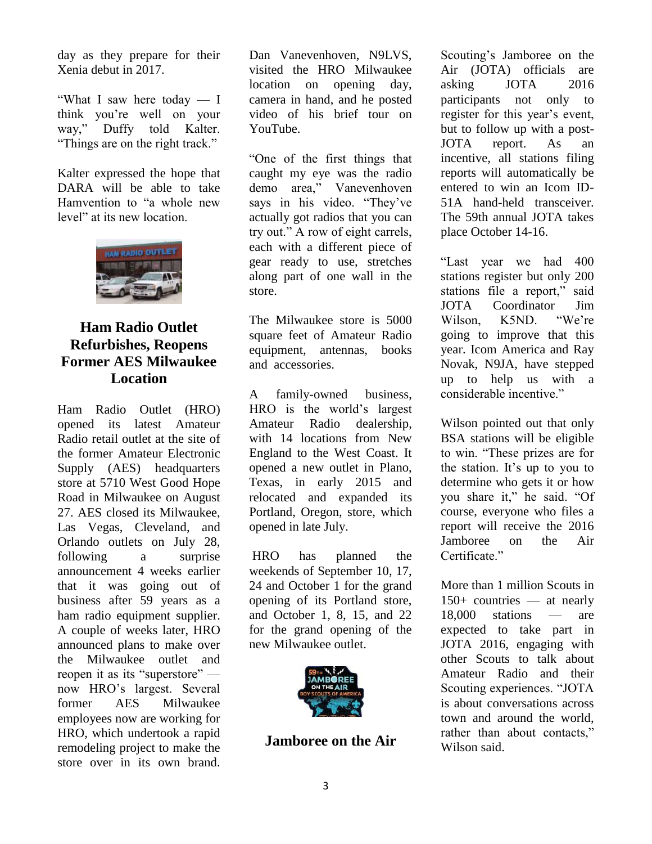day as they prepare for their Xenia debut in 2017.

"What I saw here today — I think you're well on your way," Duffy told Kalter. "Things are on the right track."

Kalter expressed the hope that DARA will be able to take Hamvention to "a whole new level" at its new location.



## **Ham Radio Outlet Refurbishes, Reopens Former AES Milwaukee Location**

Ham Radio Outlet [\(HRO\)](http://www.hamradio.com/) opened its latest Amateur Radio retail outlet at the site of the former Amateur Electronic Supply (AES) headquarters store at 5710 West Good Hope Road in Milwaukee on August 27. AES closed its Milwaukee, Las Vegas, Cleveland, and Orlando outlets on July 28, following a surprise announcement 4 weeks earlier that it was going out of business after 59 years as a ham radio equipment supplier. A couple of weeks later, HRO announced plans to make over the Milwaukee outlet and reopen it as its "superstore" now HRO's largest. Several former AES Milwaukee employees now are working for HRO, which undertook a rapid remodeling project to make the store over in its own brand.

Dan Vanevenhoven, N9LVS, visited the HRO Milwaukee location on opening day, camera in hand, and he [posted](https://www.youtube.com/watch?v=_jrjyVV2MMg) video of his brief tour on YouTube.

"One of the first things that caught my eye was the radio demo area," Vanevenhoven says in his video. "They've actually got radios that you can try out." A row of eight carrels, each with a different piece of gear ready to use, stretches along part of one wall in the store.

The Milwaukee store is 5000 square feet of Amateur Radio equipment, antennas, books and accessories.

A family-owned business, HRO is the world's largest Amateur Radio dealership, with 14 locations from New England to the West Coast. It opened a new outlet in Plano, Texas, in early 2015 and relocated and expanded its Portland, Oregon, store, which opened in late July.

HRO has planned the weekends of September 10, 17, 24 and October 1 for the grand opening of its Portland store, and October 1, 8, 15, and 22 for the grand opening of the new Milwaukee outlet.



**Jamboree on the Air**

Scouting's Jamboree on the Air (JOTA) officials are asking JOTA 2016 participants not only to [register](http://jotajoti.info/sign-up-for-jota-joti/) for this year's event, but to follow up with a post-JOTA report. As an incentive, all stations filing reports will automatically be entered to win an Icom ID-51A hand-held transceiver. The 59th annual JOTA takes place October 14-16.

"Last year we had 400 stations register but only 200 stations file a report," said JOTA Coordinator Jim Wilson K5ND "We're going to improve that this year. Icom America and Ray Novak, N9JA, have stepped up to help us with a considerable incentive."

Wilson pointed out that only BSA stations will be eligible to win. "These prizes are for the station. It's up to you to determine who gets it or how you share it," he said. "Of course, everyone who files a report will receive the 2016 Jamboree on the Air Certificate."

More than 1 million Scouts in 150+ countries — at nearly 18,000 stations — are expected to take part in JOTA 2016, engaging with other Scouts to talk about Amateur Radio and their Scouting experiences. "JOTA is about conversations across town and around the world, rather than about contacts," Wilson said.